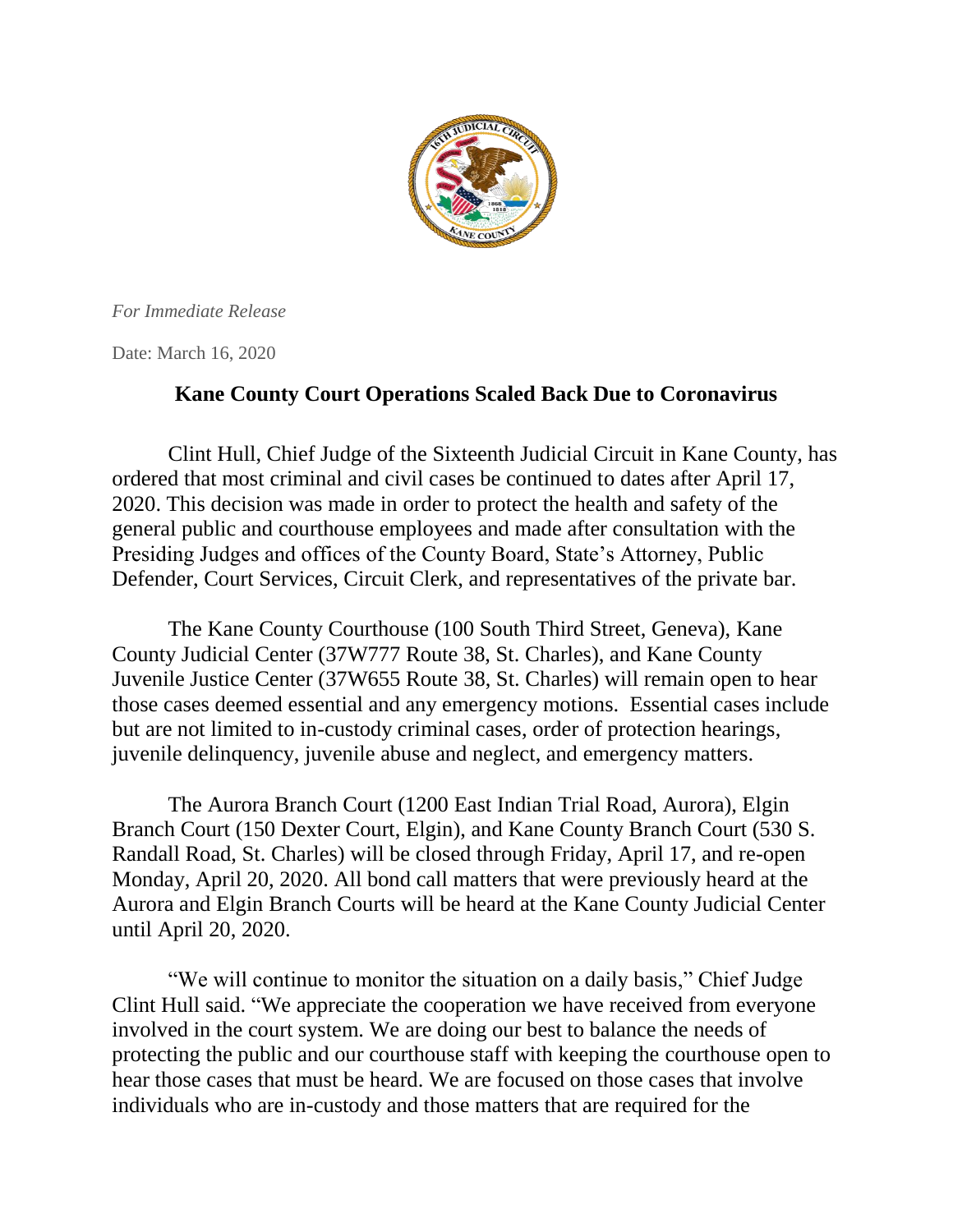

*For Immediate Release*

Date: March 16, 2020

## **Kane County Court Operations Scaled Back Due to Coronavirus**

Clint Hull, Chief Judge of the Sixteenth Judicial Circuit in Kane County, has ordered that most criminal and civil cases be continued to dates after April 17, 2020. This decision was made in order to protect the health and safety of the general public and courthouse employees and made after consultation with the Presiding Judges and offices of the County Board, State's Attorney, Public Defender, Court Services, Circuit Clerk, and representatives of the private bar.

The Kane County Courthouse (100 South Third Street, Geneva), Kane County Judicial Center (37W777 Route 38, St. Charles), and Kane County Juvenile Justice Center (37W655 Route 38, St. Charles) will remain open to hear those cases deemed essential and any emergency motions. Essential cases include but are not limited to in-custody criminal cases, order of protection hearings, juvenile delinquency, juvenile abuse and neglect, and emergency matters.

The Aurora Branch Court (1200 East Indian Trial Road, Aurora), Elgin Branch Court (150 Dexter Court, Elgin), and Kane County Branch Court (530 S. Randall Road, St. Charles) will be closed through Friday, April 17, and re-open Monday, April 20, 2020. All bond call matters that were previously heard at the Aurora and Elgin Branch Courts will be heard at the Kane County Judicial Center until April 20, 2020.

"We will continue to monitor the situation on a daily basis," Chief Judge Clint Hull said. "We appreciate the cooperation we have received from everyone involved in the court system. We are doing our best to balance the needs of protecting the public and our courthouse staff with keeping the courthouse open to hear those cases that must be heard. We are focused on those cases that involve individuals who are in-custody and those matters that are required for the